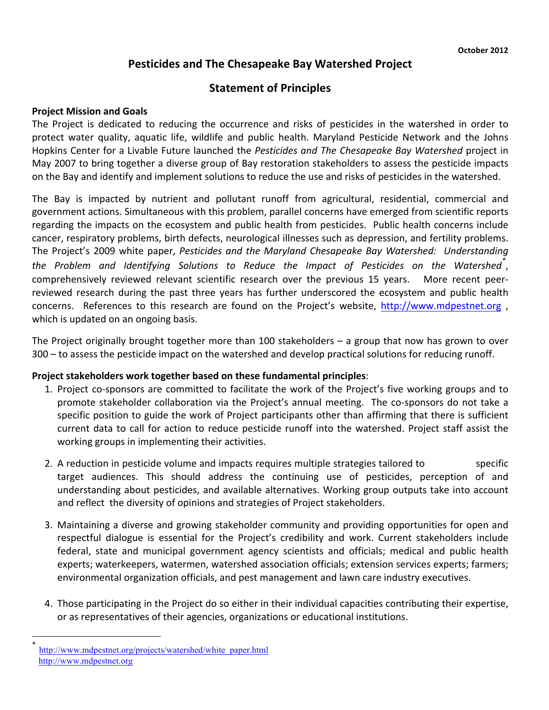# **Pesticides and The Chesapeake Bay Watershed Project**

## **Statement of Principles**

#### **Project Mission and Goals**

The Project is dedicated to reducing the occurrence and risks of pesticides in the watershed in order to protect water quality, aquatic life, wildlife and public health. Maryland Pesticide Network and the Johns Hopkins Center for a Livable Future launched the *Pesticides and The Chesapeake Bay Watershed* project in May 2007 to bring together a diverse group of Bay restoration stakeholders to assess the pesticide impacts on the Bay and identify and implement solutions to reduce the use and risks of pesticides in the watershed.

The Bay is impacted by nutrient and pollutant runoff from agricultural, residential, commercial and government actions. Simultaneous with this problem, parallel concerns have emerged from scientific reports regarding the impacts on the ecosystem and public health from pesticides. Public health concerns include cancer, respiratory problems, birth defects, neurological illnesses such as depression, and fertility problems. The Project's 2009 white paper, Pesticides and the Maryland Chesapeake Bay Watershed: Understanding the Problem and Identifying Solutions to Reduce the Impact of Pesticides on the Watershed<sup>\*</sup>, comprehensively reviewed relevant scientific research over the previous 15 years. More recent peerreviewed research during the past three years has further underscored the ecosystem and public health concerns. References to this research are found on the Project's website, http://www.mdpestnet.org, which is updated on an ongoing basis.

The Project originally brought together more than 100 stakeholders – a group that now has grown to over 300 – to assess the pesticide impact on the watershed and develop practical solutions for reducing runoff.

#### **Project stakeholders work together based on these fundamental principles**:

- 1. Project co-sponsors are committed to facilitate the work of the Project's five working groups and to promote stakeholder collaboration via the Project's annual meeting. The co-sponsors do not take a specific position to guide the work of Project participants other than affirming that there is sufficient current data to call for action to reduce pesticide runoff into the watershed. Project staff assist the working groups in implementing their activities.
- 2. A reduction in pesticide volume and impacts requires multiple strategies tailored to specific target audiences. This should address the continuing use of pesticides, perception of and understanding about pesticides, and available alternatives. Working group outputs take into account and reflect the diversity of opinions and strategies of Project stakeholders.
- 3. Maintaining a diverse and growing stakeholder community and providing opportunities for open and respectful dialogue is essential for the Project's credibility and work. Current stakeholders include federal, state and municipal government agency scientists and officials; medical and public health experts; waterkeepers, watermen, watershed association officials; extension services experts; farmers; environmental organization officials, and pest management and lawn care industry executives.
- 4. Those participating in the Project do so either in their individual capacities contributing their expertise, or as representatives of their agencies, organizations or educational institutions.

http://www.mdpestnet.org/projects/watershed/white\_paper.html http://www.mdpestnet.org